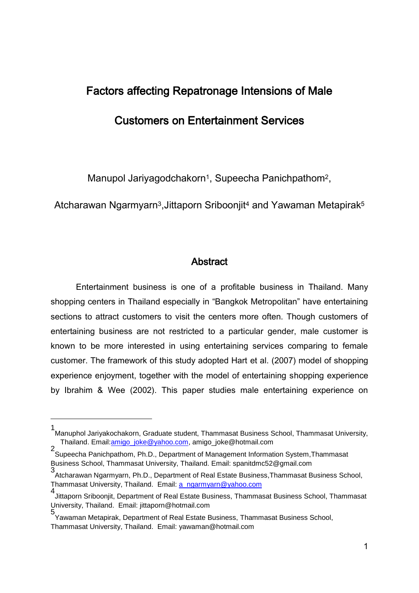# Factors affecting Repatronage Intensions of Male

## Customers on Entertainment Services

Manupol Jariyagodchakorn<sup>1</sup>, Supeecha Panichpathom<sup>2</sup>,

Atcharawan Ngarmyarn<sup>3</sup>, Jittaporn Sriboonjit<sup>4</sup> and Yawaman Metapirak<sup>5</sup>

## **Abstract**

Entertainment business is one of a profitable business in Thailand. Many shopping centers in Thailand especially in "Bangkok Metropolitan" have entertaining sections to attract customers to visit the centers more often. Though customers of entertaining business are not restricted to a particular gender, male customer is known to be more interested in using entertaining services comparing to female customer. The framework of this study adopted Hart et al. (2007) model of shopping experience enjoyment, together with the model of entertaining shopping experience by Ibrahim & Wee (2002). This paper studies male entertaining experience on

<u>.</u>

<sup>1</sup> Manuphol Jariyakochakorn, Graduate student, Thammasat Business School, Thammasat University, Thailand. Email[:amigo\\_joke@yahoo.com,](mailto:amigo_joke@yahoo.com) amigo\_joke@hotmail.com

<sup>2</sup> Supeecha Panichpathom, Ph.D., Department of Management Information System,Thammasat Business School, Thammasat University, Thailand. Email: spanitdmc52@gmail.com

<sup>3</sup> Atcharawan Ngarmyarn, Ph.D., Department of Real Estate Business,Thammasat Business School, Thammasat University, Thailand. Email: [a\\_ngarmyarn@yahoo.com](mailto:a_ngarmyarn@yahoo.com)

<sup>4</sup> Jittaporn Sriboonjit, Department of Real Estate Business, Thammasat Business School, Thammasat University, Thailand. Email: jittaporn@hotmail.com

<sup>5</sup> Yawaman Metapirak, Department of Real Estate Business, Thammasat Business School, Thammasat University, Thailand. Email: yawaman@hotmail.com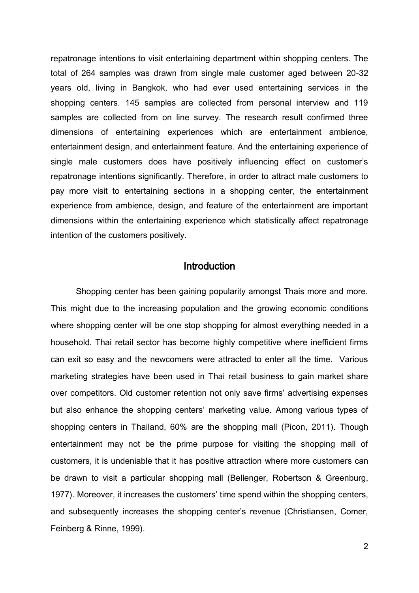repatronage intentions to visit entertaining department within shopping centers. The total of 264 samples was drawn from single male customer aged between 20-32 years old, living in Bangkok, who had ever used entertaining services in the shopping centers. 145 samples are collected from personal interview and 119 samples are collected from on line survey. The research result confirmed three dimensions of entertaining experiences which are entertainment ambience, entertainment design, and entertainment feature. And the entertaining experience of single male customers does have positively influencing effect on customer's repatronage intentions significantly. Therefore, in order to attract male customers to pay more visit to entertaining sections in a shopping center, the entertainment experience from ambience, design, and feature of the entertainment are important dimensions within the entertaining experience which statistically affect repatronage intention of the customers positively.

## **Introduction**

Shopping center has been gaining popularity amongst Thais more and more. This might due to the increasing population and the growing economic conditions where shopping center will be one stop shopping for almost everything needed in a household. Thai retail sector has become highly competitive where inefficient firms can exit so easy and the newcomers were attracted to enter all the time. Various marketing strategies have been used in Thai retail business to gain market share over competitors. Old customer retention not only save firms' advertising expenses but also enhance the shopping centers' marketing value. Among various types of shopping centers in Thailand, 60% are the shopping mall (Picon, 2011). Though entertainment may not be the prime purpose for visiting the shopping mall of customers, it is undeniable that it has positive attraction where more customers can be drawn to visit a particular shopping mall (Bellenger, Robertson & Greenburg, 1977). Moreover, it increases the customers' time spend within the shopping centers, and subsequently increases the shopping center's revenue (Christiansen, Comer, Feinberg & Rinne, 1999).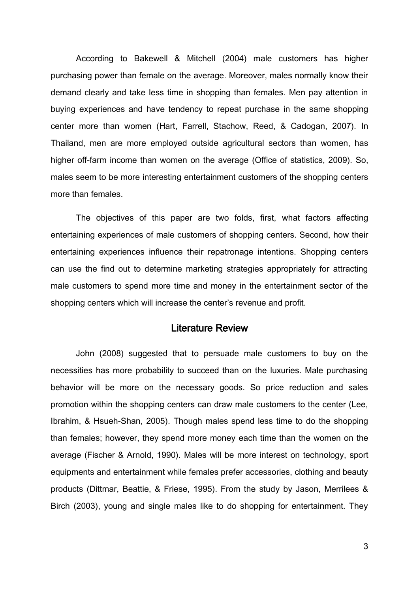According to Bakewell & Mitchell (2004) male customers has higher purchasing power than female on the average. Moreover, males normally know their demand clearly and take less time in shopping than females. Men pay attention in buying experiences and have tendency to repeat purchase in the same shopping center more than women (Hart, Farrell, Stachow, Reed, & Cadogan, 2007). In Thailand, men are more employed outside agricultural sectors than women, has higher off-farm income than women on the average (Office of statistics, 2009). So, males seem to be more interesting entertainment customers of the shopping centers more than females.

The objectives of this paper are two folds, first, what factors affecting entertaining experiences of male customers of shopping centers. Second, how their entertaining experiences influence their repatronage intentions. Shopping centers can use the find out to determine marketing strategies appropriately for attracting male customers to spend more time and money in the entertainment sector of the shopping centers which will increase the center's revenue and profit.

## Literature Review

John (2008) suggested that to persuade male customers to buy on the necessities has more probability to succeed than on the luxuries. Male purchasing behavior will be more on the necessary goods. So price reduction and sales promotion within the shopping centers can draw male customers to the center (Lee, Ibrahim, & Hsueh-Shan, 2005). Though males spend less time to do the shopping than females; however, they spend more money each time than the women on the average (Fischer & Arnold, 1990). Males will be more interest on technology, sport equipments and entertainment while females prefer accessories, clothing and beauty products (Dittmar, Beattie, & Friese, 1995). From the study by Jason, Merrilees & Birch (2003), young and single males like to do shopping for entertainment. They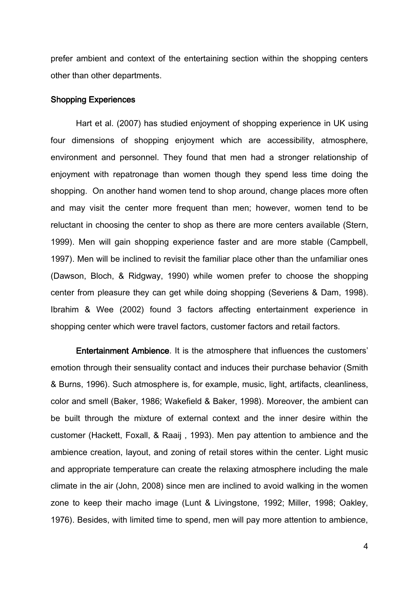prefer ambient and context of the entertaining section within the shopping centers other than other departments.

#### Shopping Experiences

Hart et al. (2007) has studied enjoyment of shopping experience in UK using four dimensions of shopping enjoyment which are accessibility, atmosphere, environment and personnel. They found that men had a stronger relationship of enjoyment with repatronage than women though they spend less time doing the shopping. On another hand women tend to shop around, change places more often and may visit the center more frequent than men; however, women tend to be reluctant in choosing the center to shop as there are more centers available (Stern, 1999). Men will gain shopping experience faster and are more stable (Campbell, 1997). Men will be inclined to revisit the familiar place other than the unfamiliar ones (Dawson, Bloch, & Ridgway, 1990) while women prefer to choose the shopping center from pleasure they can get while doing shopping (Severiens & Dam, 1998). Ibrahim & Wee (2002) found 3 factors affecting entertainment experience in shopping center which were travel factors, customer factors and retail factors.

Entertainment Ambience. It is the atmosphere that influences the customers' emotion through their sensuality contact and induces their purchase behavior (Smith & Burns, 1996). Such atmosphere is, for example, music, light, artifacts, cleanliness, color and smell (Baker, 1986; Wakefield & Baker, 1998). Moreover, the ambient can be built through the mixture of external context and the inner desire within the customer (Hackett, Foxall, & Raaij , 1993). Men pay attention to ambience and the ambience creation, layout, and zoning of retail stores within the center. Light music and appropriate temperature can create the relaxing atmosphere including the male climate in the air (John, 2008) since men are inclined to avoid walking in the women zone to keep their macho image (Lunt & Livingstone, 1992; Miller, 1998; Oakley, 1976). Besides, with limited time to spend, men will pay more attention to ambience,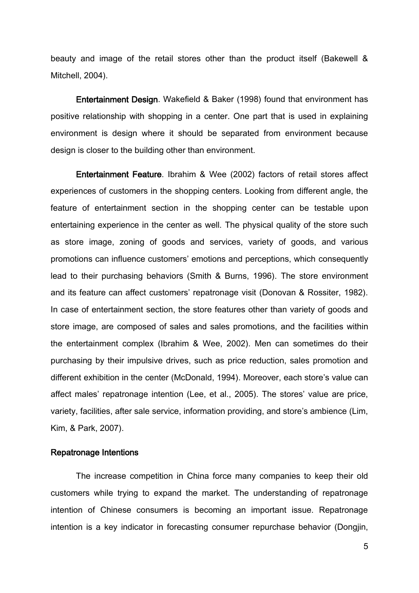beauty and image of the retail stores other than the product itself (Bakewell & Mitchell, 2004).

Entertainment Design. Wakefield & Baker (1998) found that environment has positive relationship with shopping in a center. One part that is used in explaining environment is design where it should be separated from environment because design is closer to the building other than environment.

Entertainment Feature. Ibrahim & Wee (2002) factors of retail stores affect experiences of customers in the shopping centers. Looking from different angle, the feature of entertainment section in the shopping center can be testable upon entertaining experience in the center as well. The physical quality of the store such as store image, zoning of goods and services, variety of goods, and various promotions can influence customers' emotions and perceptions, which consequently lead to their purchasing behaviors (Smith & Burns, 1996). The store environment and its feature can affect customers' repatronage visit (Donovan & Rossiter, 1982). In case of entertainment section, the store features other than variety of goods and store image, are composed of sales and sales promotions, and the facilities within the entertainment complex (Ibrahim & Wee, 2002). Men can sometimes do their purchasing by their impulsive drives, such as price reduction, sales promotion and different exhibition in the center (McDonald, 1994). Moreover, each store's value can affect males' repatronage intention (Lee, et al., 2005). The stores' value are price, variety, facilities, after sale service, information providing, and store's ambience (Lim, Kim, & Park, 2007).

#### Repatronage Intentions

The increase competition in China force many companies to keep their old customers while trying to expand the market. The understanding of repatronage intention of Chinese consumers is becoming an important issue. Repatronage intention is a key indicator in forecasting consumer repurchase behavior (Dongjin,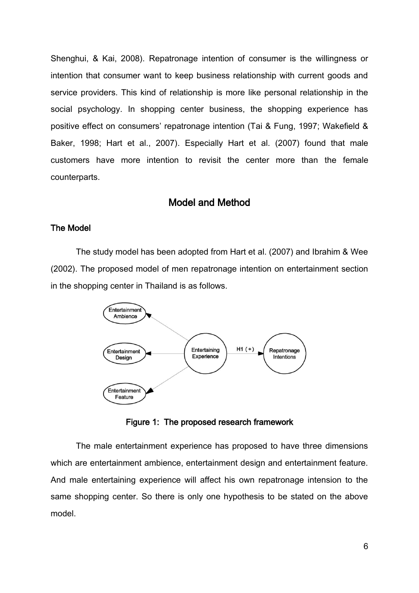Shenghui, & Kai, 2008). Repatronage intention of consumer is the willingness or intention that consumer want to keep business relationship with current goods and service providers. This kind of relationship is more like personal relationship in the social psychology. In shopping center business, the shopping experience has positive effect on consumers' repatronage intention (Tai & Fung, 1997; Wakefield & Baker, 1998; Hart et al., 2007). Especially Hart et al. (2007) found that male customers have more intention to revisit the center more than the female counterparts.

## Model and Method

## The Model

The study model has been adopted from Hart et al. (2007) and Ibrahim & Wee (2002). The proposed model of men repatronage intention on entertainment section in the shopping center in Thailand is as follows.



Figure 1: The proposed research framework

 The male entertainment experience has proposed to have three dimensions which are entertainment ambience, entertainment design and entertainment feature. And male entertaining experience will affect his own repatronage intension to the same shopping center. So there is only one hypothesis to be stated on the above model.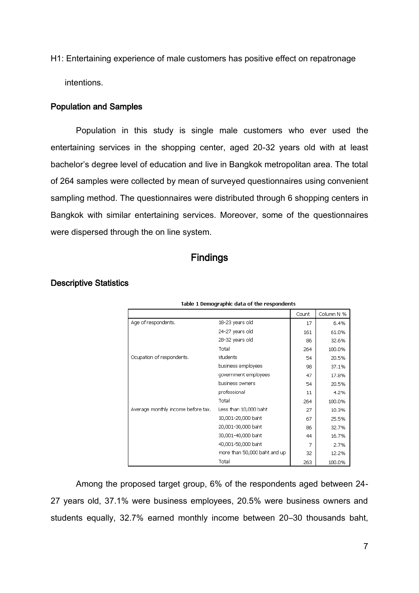H1: Entertaining experience of male customers has positive effect on repatronage intentions.

### Population and Samples

 Population in this study is single male customers who ever used the entertaining services in the shopping center, aged 20-32 years old with at least bachelor's degree level of education and live in Bangkok metropolitan area. The total of 264 samples were collected by mean of surveyed questionnaires using convenient sampling method. The questionnaires were distributed through 6 shopping centers in Bangkok with similar entertaining services. Moreover, some of the questionnaires were dispersed through the on line system.

## **Findings**

| Table 1 Demographic data of the respondents |                              |       |            |  |  |  |
|---------------------------------------------|------------------------------|-------|------------|--|--|--|
|                                             |                              | Count | Column N % |  |  |  |
| Age of respondents.                         | 18-23 years old              | 17    | 6.4%       |  |  |  |
|                                             | 24-27 years old              | 161   | 61.0%      |  |  |  |
|                                             | 28-32 years old              | 86    | 32.6%      |  |  |  |
|                                             | Total                        | 264   | 100.0%     |  |  |  |
| Ocupation of respondents.                   | students                     | 54    | 20.5%      |  |  |  |
|                                             | business employees           | 98    | 37.1%      |  |  |  |
|                                             | government employees         | 47    | 17.8%      |  |  |  |
|                                             | business owners              | 54    | 20.5%      |  |  |  |
|                                             | professional                 | 11    | 4.2%       |  |  |  |
|                                             | Total                        | 264   | 100.0%     |  |  |  |
| Average monthly income before tax.          | Less than 10,000 baht        | 27    | 10.3%      |  |  |  |
|                                             | 10,001-20,000 baht           | 67    | 25.5%      |  |  |  |
|                                             | 20,001-30,000 baht           | 86    | 32.7%      |  |  |  |
|                                             | 30,001-40,000 baht           | 44    | 16.7%      |  |  |  |
|                                             | 40,001-50,000 baht           | 7     | 2.7%       |  |  |  |
|                                             | more than 50,000 baht and up | 32    | 12.2%      |  |  |  |
|                                             | Total                        | 263   | 100.0%     |  |  |  |

### Descriptive Statistics

Among the proposed target group, 6% of the respondents aged between 24- 27 years old, 37.1% were business employees, 20.5% were business owners and students equally, 32.7% earned monthly income between 20–30 thousands baht,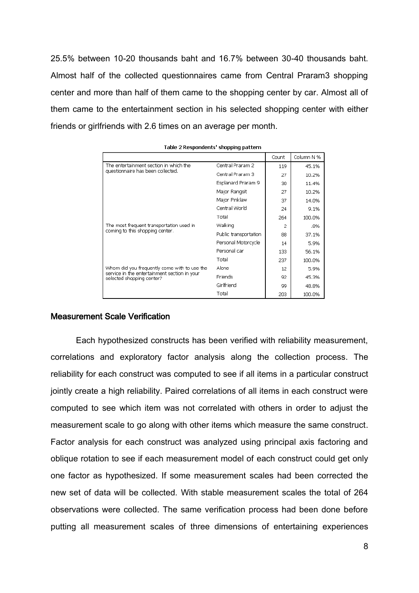25.5% between 10-20 thousands baht and 16.7% between 30-40 thousands baht. Almost half of the collected questionnaires came from Central Praram3 shopping center and more than half of them came to the shopping center by car. Almost all of them came to the entertainment section in his selected shopping center with either friends or girlfriends with 2.6 times on an average per month.

|                                                                           |                       | Count | Column N % |
|---------------------------------------------------------------------------|-----------------------|-------|------------|
| The entertainment section in which the                                    | Central Praram 2      | 119   | 45.1%      |
| questionnaire has been collected.                                         | Central Praram 3      | 27    | 10.2%      |
|                                                                           | Esplanard Praram 9    | 30    | 11.4%      |
|                                                                           | Major Rangsit         | 27    | 10.2%      |
|                                                                           | Major Pinklaw         | 37    | 14.0%      |
|                                                                           | Central World         | 24    | 9.1%       |
|                                                                           | Total                 | 264   | 100.0%     |
| The most frequent transportation used in                                  | Walking               | 2     | .8%        |
| coming to this shopping center.                                           | Public transportation | 88    | 37.1%      |
|                                                                           | Personal Motorcycle   | 14    | 5.9%       |
|                                                                           | Personal car          | 133   | 56.1%      |
|                                                                           | Total                 | 237   | 100.0%     |
| Whom did you frequently come with to use the                              | Alone                 | 12    | 5.9%       |
| service in the entertainment section in your<br>selected shopping center? | Friends               | 92    | 45.3%      |
|                                                                           | Girlfriend            | 99    | 48.8%      |
|                                                                           | Total                 | 203   | 100.0%     |

|  | Table 2 Respondents' shopping pattern |  |  |
|--|---------------------------------------|--|--|
|--|---------------------------------------|--|--|

### Measurement Scale Verification

Each hypothesized constructs has been verified with reliability measurement, correlations and exploratory factor analysis along the collection process. The reliability for each construct was computed to see if all items in a particular construct jointly create a high reliability. Paired correlations of all items in each construct were computed to see which item was not correlated with others in order to adjust the measurement scale to go along with other items which measure the same construct. Factor analysis for each construct was analyzed using principal axis factoring and oblique rotation to see if each measurement model of each construct could get only one factor as hypothesized. If some measurement scales had been corrected the new set of data will be collected. With stable measurement scales the total of 264 observations were collected. The same verification process had been done before putting all measurement scales of three dimensions of entertaining experiences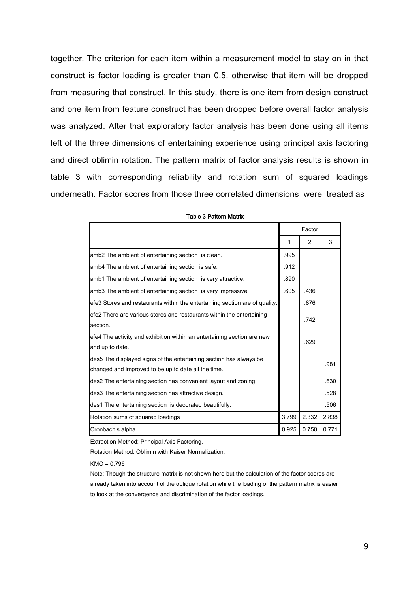together. The criterion for each item within a measurement model to stay on in that construct is factor loading is greater than 0.5, otherwise that item will be dropped from measuring that construct. In this study, there is one item from design construct and one item from feature construct has been dropped before overall factor analysis was analyzed. After that exploratory factor analysis has been done using all items left of the three dimensions of entertaining experience using principal axis factoring and direct oblimin rotation. The pattern matrix of factor analysis results is shown in table 3 with corresponding reliability and rotation sum of squared loadings underneath. Factor scores from those three correlated dimensions were treated as

|                                                                             |              | Factor |       |
|-----------------------------------------------------------------------------|--------------|--------|-------|
|                                                                             | $\mathbf{1}$ | 2      | 3     |
| amb2 The ambient of entertaining section is clean.                          | .995         |        |       |
| amb4 The ambient of entertaining section is safe.                           | .912         |        |       |
| amb1 The ambient of entertaining section is very attractive.                | .890         |        |       |
| amb3 The ambient of entertaining section is very impressive.                | .605         | .436   |       |
| efe3 Stores and restaurants within the entertaining section are of quality. |              | .876   |       |
| efe2 There are various stores and restaurants within the entertaining       |              | .742   |       |
| section.                                                                    |              |        |       |
| efe4 The activity and exhibition within an entertaining section are new     |              | .629   |       |
| and up to date.                                                             |              |        |       |
| des5 The displayed signs of the entertaining section has always be          |              |        | .981  |
| changed and improved to be up to date all the time.                         |              |        |       |
| des2 The entertaining section has convenient layout and zoning.             |              |        | .630  |
| des3 The entertaining section has attractive design.                        |              |        | .528  |
| des1 The entertaining section is decorated beautifully.                     |              |        | .506  |
| Rotation sums of squared loadings                                           | 3.799        | 2.332  | 2.838 |
| Cronbach's alpha                                                            | 0.925        | 0.750  | 0.771 |

Table 3 Pattern Matrix

Extraction Method: Principal Axis Factoring.

Rotation Method: Oblimin with Kaiser Normalization.

KMO = 0.796

Note: Though the structure matrix is not shown here but the calculation of the factor scores are already taken into account of the oblique rotation while the loading of the pattern matrix is easier to look at the convergence and discrimination of the factor loadings.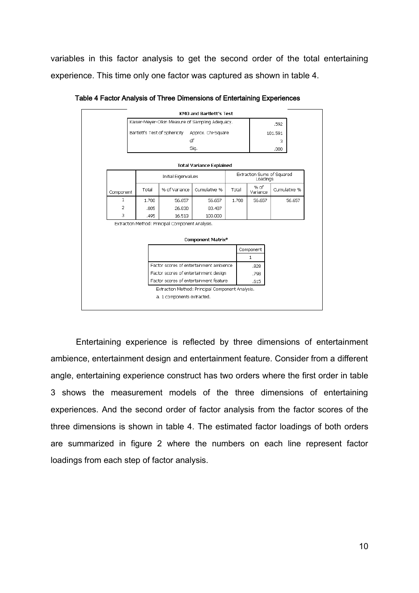variables in this factor analysis to get the second order of the total entertaining experience. This time only one factor was captured as shown in table 4.

|              |                                                     |       |                                                  | KMO and Bartlett's Test                          |  |       |                  |                                        |  |
|--------------|-----------------------------------------------------|-------|--------------------------------------------------|--------------------------------------------------|--|-------|------------------|----------------------------------------|--|
|              | Kaiser-Meyer-Olkin Measure of Sampling Adequacy.    |       |                                                  |                                                  |  |       |                  | .592                                   |  |
|              | Bartlett's Test of Sphericity<br>Approx. Chi-Square |       |                                                  |                                                  |  |       | 101.591          |                                        |  |
|              |                                                     |       |                                                  | df                                               |  |       |                  | з                                      |  |
|              |                                                     |       |                                                  | Sig.                                             |  |       |                  | .000                                   |  |
|              |                                                     |       |                                                  |                                                  |  |       |                  |                                        |  |
|              |                                                     |       |                                                  | <b>Total Variance Explained</b>                  |  |       |                  |                                        |  |
|              |                                                     |       | Initial Eigenvalues                              |                                                  |  |       |                  | Extraction Sums of Squared<br>Loadings |  |
| Component    | Total                                               |       | % of Variance                                    | Cumulative %                                     |  | Total | % of<br>Variance | Cumulative %                           |  |
| $\mathbf{1}$ |                                                     | 1.700 | 56.657                                           | 56.657                                           |  | 1.700 | 56.657           | 56.657                                 |  |
| 2            |                                                     | .805  | 26.830                                           | 83.487                                           |  |       |                  |                                        |  |
| 3            |                                                     | .495  | 16.513                                           | 100.000                                          |  |       |                  |                                        |  |
|              |                                                     |       | Extraction Method: Principal Component Analysis. |                                                  |  |       |                  |                                        |  |
|              |                                                     |       |                                                  |                                                  |  |       |                  |                                        |  |
|              |                                                     |       |                                                  | Component Matrix <sup>a</sup>                    |  |       |                  |                                        |  |
|              |                                                     |       |                                                  |                                                  |  |       | Component        |                                        |  |
|              |                                                     |       |                                                  |                                                  |  |       | 1                |                                        |  |
|              |                                                     |       |                                                  | Factor scores of entertainment ambience          |  |       | .828             |                                        |  |
|              | Factor scores of entertainment design               |       |                                                  | .798                                             |  |       |                  |                                        |  |
|              |                                                     |       |                                                  | Factor scores of entertainment feature           |  |       | .615             |                                        |  |
|              |                                                     |       |                                                  | Extraction Method: Principal Component Analysis. |  |       |                  |                                        |  |
|              |                                                     |       | a. 1 components extracted.                       |                                                  |  |       |                  |                                        |  |

Table 4 Factor Analysis of Three Dimensions of Entertaining Experiences

Entertaining experience is reflected by three dimensions of entertainment ambience, entertainment design and entertainment feature. Consider from a different angle, entertaining experience construct has two orders where the first order in table 3 shows the measurement models of the three dimensions of entertaining experiences. And the second order of factor analysis from the factor scores of the three dimensions is shown in table 4. The estimated factor loadings of both orders are summarized in figure 2 where the numbers on each line represent factor loadings from each step of factor analysis.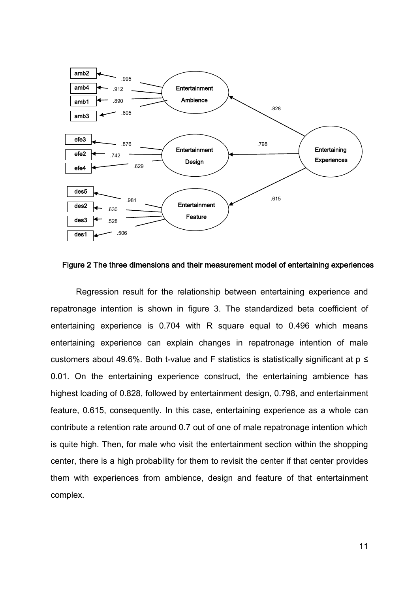

Figure 2 The three dimensions and their measurement model of entertaining experiences

Regression result for the relationship between entertaining experience and repatronage intention is shown in figure 3. The standardized beta coefficient of entertaining experience is 0.704 with R square equal to 0.496 which means entertaining experience can explain changes in repatronage intention of male customers about 49.6%. Both t-value and F statistics is statistically significant at  $p \leq$ 0.01. On the entertaining experience construct, the entertaining ambience has highest loading of 0.828, followed by entertainment design, 0.798, and entertainment feature, 0.615, consequently. In this case, entertaining experience as a whole can contribute a retention rate around 0.7 out of one of male repatronage intention which is quite high. Then, for male who visit the entertainment section within the shopping center, there is a high probability for them to revisit the center if that center provides them with experiences from ambience, design and feature of that entertainment complex.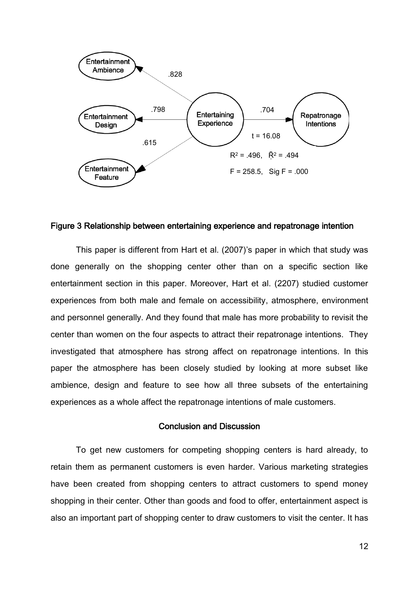

#### Figure 3 Relationship between entertaining experience and repatronage intention

This paper is different from Hart et al. (2007)'s paper in which that study was done generally on the shopping center other than on a specific section like entertainment section in this paper. Moreover, Hart et al. (2207) studied customer experiences from both male and female on accessibility, atmosphere, environment and personnel generally. And they found that male has more probability to revisit the center than women on the four aspects to attract their repatronage intentions. They investigated that atmosphere has strong affect on repatronage intentions. In this paper the atmosphere has been closely studied by looking at more subset like ambience, design and feature to see how all three subsets of the entertaining experiences as a whole affect the repatronage intentions of male customers.

#### Conclusion and Discussion

 To get new customers for competing shopping centers is hard already, to retain them as permanent customers is even harder. Various marketing strategies have been created from shopping centers to attract customers to spend money shopping in their center. Other than goods and food to offer, entertainment aspect is also an important part of shopping center to draw customers to visit the center. It has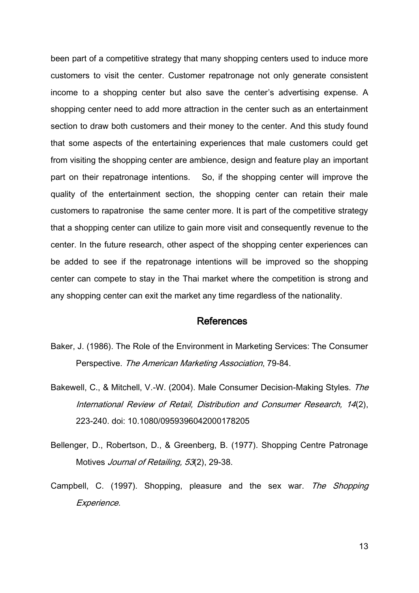been part of a competitive strategy that many shopping centers used to induce more customers to visit the center. Customer repatronage not only generate consistent income to a shopping center but also save the center's advertising expense. A shopping center need to add more attraction in the center such as an entertainment section to draw both customers and their money to the center. And this study found that some aspects of the entertaining experiences that male customers could get from visiting the shopping center are ambience, design and feature play an important part on their repatronage intentions. So, if the shopping center will improve the quality of the entertainment section, the shopping center can retain their male customers to rapatronise the same center more. It is part of the competitive strategy that a shopping center can utilize to gain more visit and consequently revenue to the center. In the future research, other aspect of the shopping center experiences can be added to see if the repatronage intentions will be improved so the shopping center can compete to stay in the Thai market where the competition is strong and any shopping center can exit the market any time regardless of the nationality.

### References

- Baker, J. (1986). The Role of the Environment in Marketing Services: The Consumer Perspective. The American Marketing Association, 79-84.
- Bakewell, C., & Mitchell, V.-W. (2004). Male Consumer Decision-Making Styles. The International Review of Retail, Distribution and Consumer Research, 14(2), 223-240. doi: 10.1080/0959396042000178205
- Bellenger, D., Robertson, D., & Greenberg, B. (1977). Shopping Centre Patronage Motives *Journal of Retailing, 53*(2), 29-38.
- Campbell, C. (1997). Shopping, pleasure and the sex war. The Shopping Experience.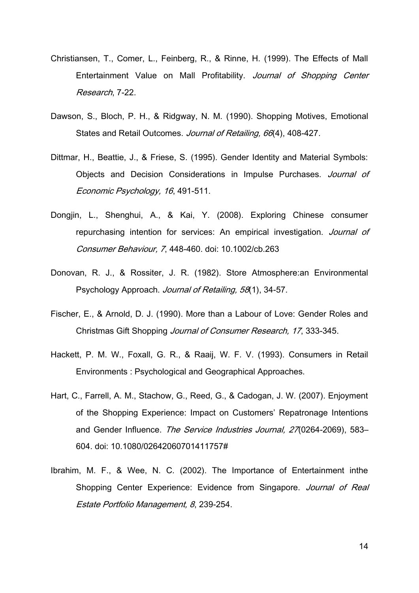- Christiansen, T., Comer, L., Feinberg, R., & Rinne, H. (1999). The Effects of Mall Entertainment Value on Mall Profitability. Journal of Shopping Center Research, 7-22.
- Dawson, S., Bloch, P. H., & Ridgway, N. M. (1990). Shopping Motives, Emotional States and Retail Outcomes. Journal of Retailing, 66(4), 408-427.
- Dittmar, H., Beattie, J., & Friese, S. (1995). Gender Identity and Material Symbols: Objects and Decision Considerations in Impulse Purchases. Journal of Economic Psychology, 16, 491-511.
- Dongjin, L., Shenghui, A., & Kai, Y. (2008). Exploring Chinese consumer repurchasing intention for services: An empirical investigation. Journal of Consumer Behaviour, 7, 448-460. doi: 10.1002/cb.263
- Donovan, R. J., & Rossiter, J. R. (1982). Store Atmosphere:an Environmental Psychology Approach. Journal of Retailing, 58(1), 34-57.
- Fischer, E., & Arnold, D. J. (1990). More than a Labour of Love: Gender Roles and Christmas Gift Shopping Journal of Consumer Research, 17, 333-345.
- Hackett, P. M. W., Foxall, G. R., & Raaij, W. F. V. (1993). Consumers in Retail Environments : Psychological and Geographical Approaches.
- Hart, C., Farrell, A. M., Stachow, G., Reed, G., & Cadogan, J. W. (2007). Enjoyment of the Shopping Experience: Impact on Customers' Repatronage Intentions and Gender Influence. The Service Industries Journal, 27(0264-2069), 583– 604. doi: 10.1080/02642060701411757#
- Ibrahim, M. F., & Wee, N. C. (2002). The Importance of Entertainment inthe Shopping Center Experience: Evidence from Singapore. Journal of Real Estate Portfolio Management, 8, 239-254.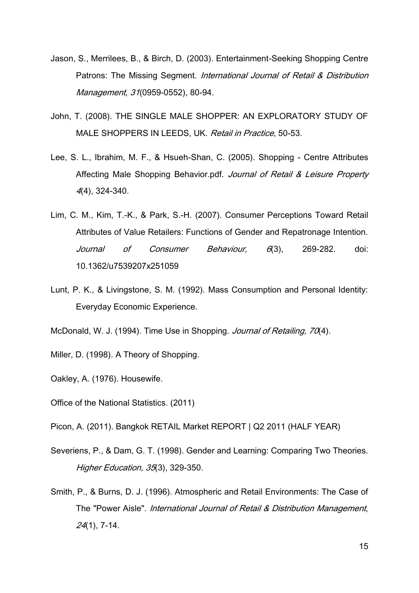- Jason, S., Merrilees, B., & Birch, D. (2003). Entertainment-Seeking Shopping Centre Patrons: The Missing Segment. International Journal of Retail & Distribution Management, 31(0959-0552), 80-94.
- John, T. (2008). THE SINGLE MALE SHOPPER: AN EXPLORATORY STUDY OF MALE SHOPPERS IN LEEDS, UK. Retail in Practice, 50-53.
- Lee, S. L., Ibrahim, M. F., & Hsueh-Shan, C. (2005). Shopping Centre Attributes Affecting Male Shopping Behavior.pdf. Journal of Retail & Leisure Property 4(4), 324-340.
- Lim, C. M., Kim, T.-K., & Park, S.-H. (2007). Consumer Perceptions Toward Retail Attributes of Value Retailers: Functions of Gender and Repatronage Intention. Journal of Consumer Behaviour, 6(3), 269-282. doi: 10.1362/u7539207x251059
- Lunt, P. K., & Livingstone, S. M. (1992). Mass Consumption and Personal Identity: Everyday Economic Experience.
- McDonald, W. J. (1994). Time Use in Shopping. Journal of Retailing, 70(4).
- Miller, D. (1998). A Theory of Shopping.
- Oakley, A. (1976). Housewife.
- Office of the National Statistics. (2011)
- Picon, A. (2011). Bangkok RETAIL Market REPORT | Q2 2011 (HALF YEAR)
- Severiens, P., & Dam, G. T. (1998). Gender and Learning: Comparing Two Theories. Higher Education, 35(3), 329-350.
- Smith, P., & Burns, D. J. (1996). Atmospheric and Retail Environments: The Case of The "Power Aisle". International Journal of Retail & Distribution Management, 24(1), 7-14.